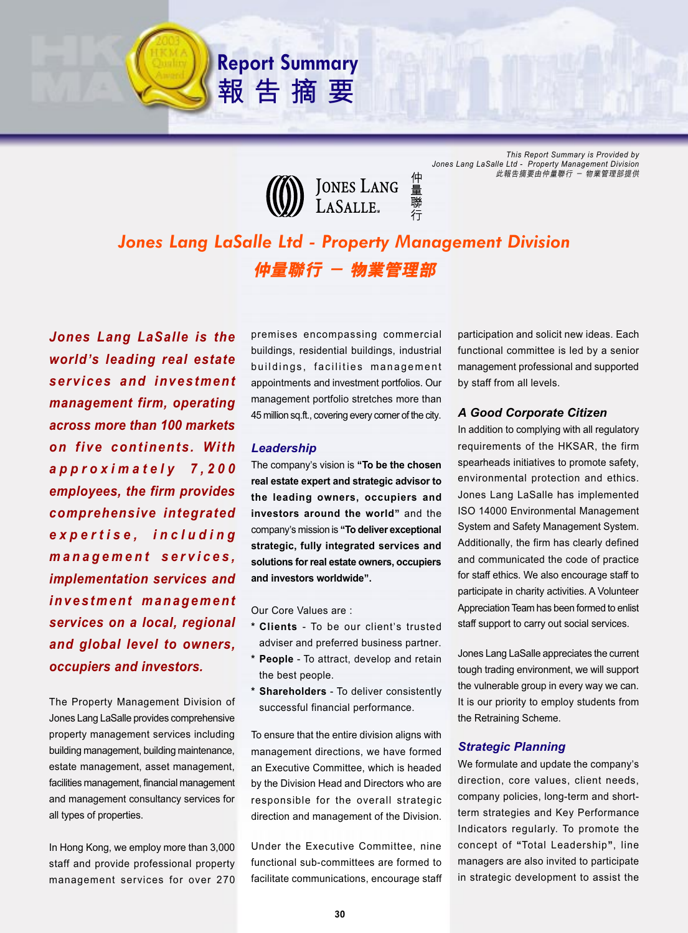

**Report Summary**

報告摘要

*This Report Summary is Provided by Jones Lang LaSalle Ltd - Property Management Division* 此報告摘要由仲量聯行 - 物業管理部提供

# *Jones Lang LaSalle Ltd - Property Management Division* 仲量聯行 - 物業管理部

*Jones Lang LaSalle is the world***'***s leading real estate services and investment management firm, operating across more than 100 markets on five continents. With approximately 7,200 employees, the firm provides comprehensive integrated expertise, including management services, implementation services and investment management services on a local, regional and global level to owners, occupiers and investors.*

The Property Management Division of Jones Lang LaSalle provides comprehensive property management services including building management, building maintenance, estate management, asset management, facilities management, financial management and management consultancy services for all types of properties.

In Hong Kong, we employ more than 3,000 staff and provide professional property management services for over 270

premises encompassing commercial buildings, residential buildings, industrial buildings, facilities management appointments and investment portfolios. Our management portfolio stretches more than 45 million sq.ft., covering every corner of the city.

#### *Leadership*

The company's vision is **"To be the chosen real estate expert and strategic advisor to the leading owners, occupiers and investors around the world"** and the company's mission is **"To deliver exceptional strategic, fully integrated services and solutions for real estate owners, occupiers and investors worldwide".**

Our Core Values are :

- **\* Clients** To be our client's trusted adviser and preferred business partner.
- **\* People** To attract, develop and retain the best people.
- **\* Shareholders**  To deliver consistently successful financial performance.

To ensure that the entire division aligns with management directions, we have formed an Executive Committee, which is headed by the Division Head and Directors who are responsible for the overall strategic direction and management of the Division.

Under the Executive Committee, nine functional sub-committees are formed to facilitate communications, encourage staff participation and solicit new ideas. Each functional committee is led by a senior management professional and supported by staff from all levels.

### *A Good Corporate Citizen*

In addition to complying with all regulatory requirements of the HKSAR, the firm spearheads initiatives to promote safety, environmental protection and ethics. Jones Lang LaSalle has implemented ISO 14000 Environmental Management System and Safety Management System. Additionally, the firm has clearly defined and communicated the code of practice for staff ethics. We also encourage staff to participate in charity activities. A Volunteer Appreciation Team has been formed to enlist staff support to carry out social services.

Jones Lang LaSalle appreciates the current tough trading environment, we will support the vulnerable group in every way we can. It is our priority to employ students from the Retraining Scheme.

## *Strategic Planning*

We formulate and update the company's direction, core values, client needs, company policies, long-term and shortterm strategies and Key Performance Indicators regularly. To promote the concept of **"**Total Leadership**"**, line managers are also invited to participate in strategic development to assist the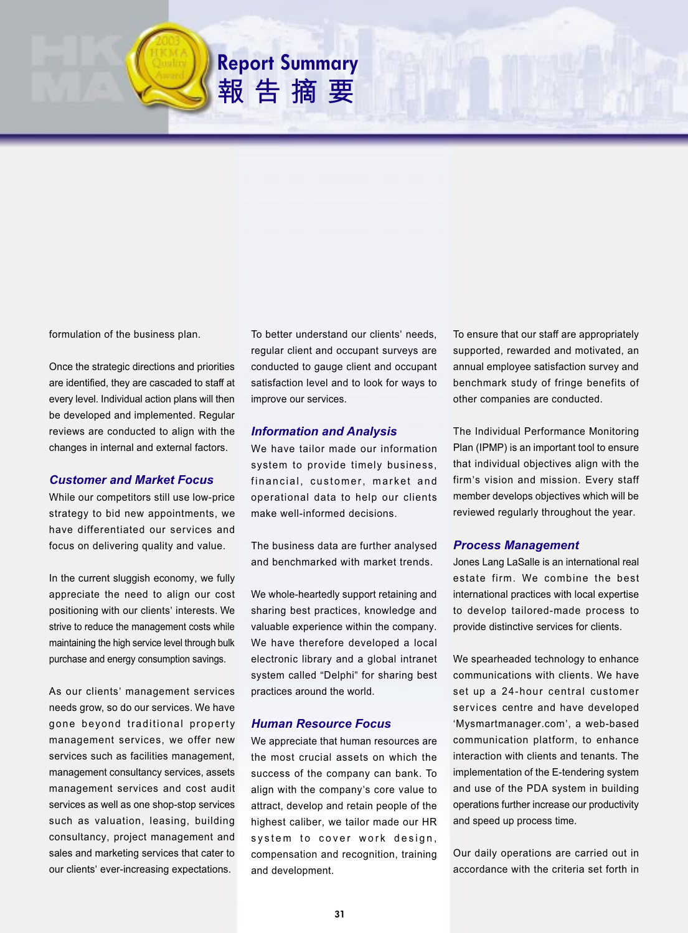

Once the strategic directions and priorities are identified, they are cascaded to staff at every level. Individual action plans will then be developed and implemented. Regular reviews are conducted to align with the changes in internal and external factors.

## *Customer and Market Focus*

While our competitors still use low-price strategy to bid new appointments, we have differentiated our services and focus on delivering quality and value.

In the current sluggish economy, we fully appreciate the need to align our cost positioning with our clients' interests. We strive to reduce the management costs while maintaining the high service level through bulk purchase and energy consumption savings.

As our clients' management services needs grow, so do our services. We have gone beyond traditional property management services, we offer new services such as facilities management, management consultancy services, assets management services and cost audit services as well as one shop-stop services such as valuation, leasing, building consultancy, project management and sales and marketing services that cater to our clients' ever-increasing expectations.

To better understand our clients' needs, regular client and occupant surveys are conducted to gauge client and occupant satisfaction level and to look for ways to improve our services.

### *Information and Analysis*

**Report Summary**

報告摘要

We have tailor made our information system to provide timely business, financial, customer, market and operational data to help our clients make well-informed decisions.

The business data are further analysed and benchmarked with market trends.

We whole-heartedly support retaining and sharing best practices, knowledge and valuable experience within the company. We have therefore developed a local electronic library and a global intranet system called "Delphi" for sharing best practices around the world.

## *Human Resource Focus*

We appreciate that human resources are the most crucial assets on which the success of the company can bank. To align with the company's core value to attract, develop and retain people of the highest caliber, we tailor made our HR system to cover work design, compensation and recognition, training and development.

To ensure that our staff are appropriately supported, rewarded and motivated, an annual employee satisfaction survey and benchmark study of fringe benefits of other companies are conducted.

The Individual Performance Monitoring Plan (IPMP) is an important tool to ensure that individual objectives align with the firm's vision and mission. Every staff member develops objectives which will be reviewed regularly throughout the year.

## *Process Management*

Jones Lang LaSalle is an international real estate firm. We combine the best international practices with local expertise to develop tailored-made process to provide distinctive services for clients.

We spearheaded technology to enhance communications with clients. We have set up a 24-hour central customer services centre and have developed 'Mysmartmanager.com', a web-based communication platform, to enhance interaction with clients and tenants. The implementation of the E-tendering system and use of the PDA system in building operations further increase our productivity and speed up process time.

Our daily operations are carried out in accordance with the criteria set forth in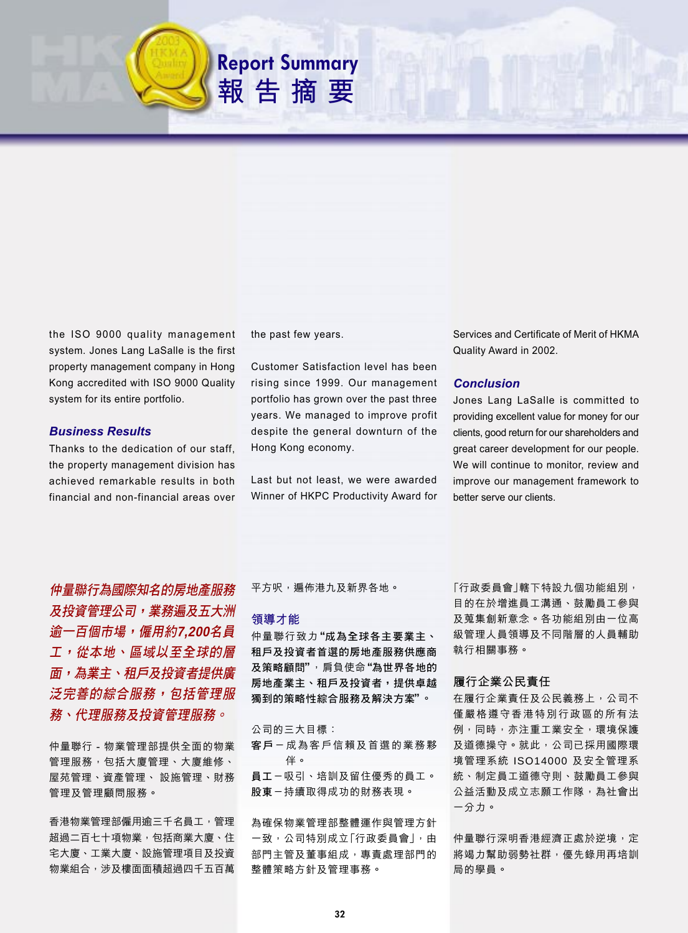the ISO 9000 quality management system. Jones Lang LaSalle is the first property management company in Hong Kong accredited with ISO 9000 Quality system for its entire portfolio.

## **Business Results**

Thanks to the dedication of our staff, the property management division has achieved remarkable results in both financial and non-financial areas over

the past few years.

**Report Summary** 

報告摘要

**Customer Satisfaction level has been** rising since 1999. Our management portfolio has grown over the past three years. We managed to improve profit despite the general downturn of the Hong Kong economy.

Last but not least, we were awarded Winner of HKPC Productivity Award for

Services and Certificate of Merit of HKMA Quality Award in 2002.

## **Conclusion**

Jones Lang LaSalle is committed to providing excellent value for money for our clients, good return for our shareholders and great career development for our people. We will continue to monitor, review and improve our management framework to better serve our clients.

仲量聯行為國際知名的房地產服務 及投資管理公司,業務遍及五大洲 逾一百個市場,僱用約7,200名員 工,從本地、區域以至全球的層 **面,為業主、租戶及投資者提供廣** 泛完善的綜合服務,包括管理服 務、代理服務及投資管理服務。

仲量聯行 - 物業管理部提供全面的物業 管理服務,包括大廈管理、大廈維修、 屋苑管理、資產管理、 設施管理、財務 管理及管理顧問服務。

香港物業管理部僱用谕三千名員工,管理 **超過二百七十項物業,包括商業大廈、住** 宅大廈、工業大廈、設施管理項目及投資 **物業組合,涉及樓面面積超過四千五百萬**  平方呎, 遍佈港九及新界各地。

#### 領導才能

仲量聯行致力"成為全球各主要業主、 租戶及投資者首選的房地產服務供應商 及策略顧問", 肩負使命"為世界各地的 房地產業主、租戶及投資者,提供卓越 獨到的策略性綜合服務及解決方案"。

#### 公司的三大目標:

客戶一成為客戶信賴及首選的業務夥 伴。

員工一吸引、培訓及留住優秀的員工。 股東一持續取得成功的財務表現。

為確保物業管理部整體運作與管理方針 一致,公司特別成立「行政委員會」,由 部門主管及董事組成,專責處理部門的 整體策略方針及管理事務。

「行政委員會 | 轄下特設九個功能組別, 目的在於增進員工溝通、鼓勵員工參與 及蒐集創新意念。各功能組別由一位高 級管理人員領導及不同階層的人員輔助 執行相關事務。

## 履行企業公民責任

在履行企業責任及公民義務上,公司不 僅嚴格遵守香港特別行政區的所有法 例,同時,亦注重工業安全,環境保護 及道德操守。就此,公司已採用國際環 境管理系統 ISO14000 及安全管理系 統、制定員工道德守則、鼓勵員工參與 公益活動及成立志願工作隊,為社會出 一分力。

仲量聯行深明香港經濟正處於逆境, **定** 將竭力幫助弱勢社群,優先錄用再培訓 局的學員。